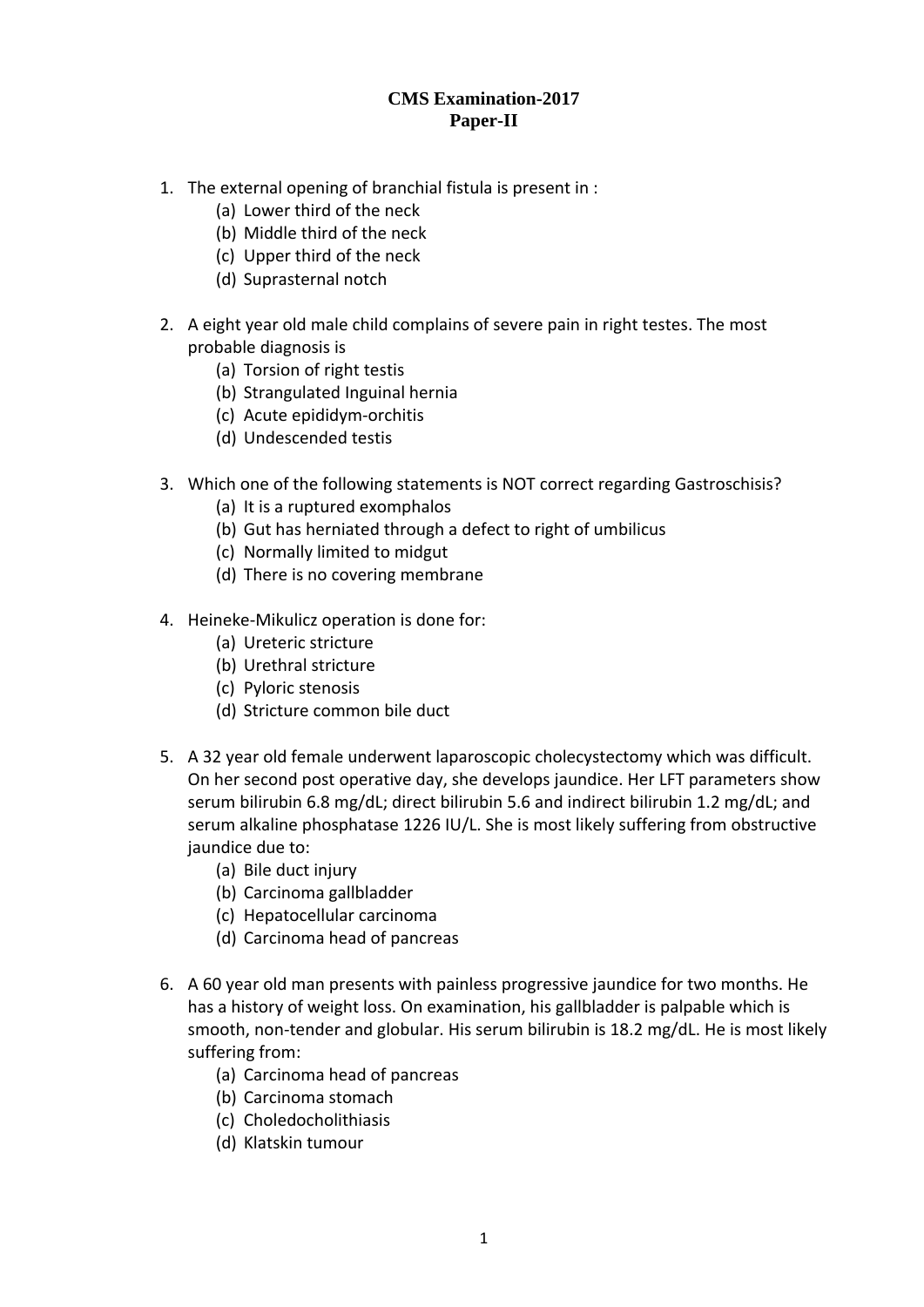## **CMS Examination-2017 Paper-II**

- 1. The external opening of branchial fistula is present in :
	- (a) Lower third of the neck
	- (b) Middle third of the neck
	- (c) Upper third of the neck
	- (d) Suprasternal notch
- 2. A eight year old male child complains of severe pain in right testes. The most probable diagnosis is
	- (a) Torsion of right testis
	- (b) Strangulated Inguinal hernia
	- (c) Acute epididym‐orchitis
	- (d) Undescended testis
- 3. Which one of the following statements is NOT correct regarding Gastroschisis?
	- (a) It is a ruptured exomphalos
	- (b) Gut has herniated through a defect to right of umbilicus
	- (c) Normally limited to midgut
	- (d) There is no covering membrane
- 4. Heineke‐Mikulicz operation is done for:
	- (a) Ureteric stricture
	- (b) Urethral stricture
	- (c) Pyloric stenosis
	- (d) Stricture common bile duct
- 5. A 32 year old female underwent laparoscopic cholecystectomy which was difficult. On her second post operative day, she develops jaundice. Her LFT parameters show serum bilirubin 6.8 mg/dL; direct bilirubin 5.6 and indirect bilirubin 1.2 mg/dL; and serum alkaline phosphatase 1226 IU/L. She is most likely suffering from obstructive jaundice due to:
	- (a) Bile duct injury
	- (b) Carcinoma gallbladder
	- (c) Hepatocellular carcinoma
	- (d) Carcinoma head of pancreas
- 6. A 60 year old man presents with painless progressive jaundice for two months. He has a history of weight loss. On examination, his gallbladder is palpable which is smooth, non-tender and globular. His serum bilirubin is 18.2 mg/dL. He is most likely suffering from:
	- (a) Carcinoma head of pancreas
	- (b) Carcinoma stomach
	- (c) Choledocholithiasis
	- (d) Klatskin tumour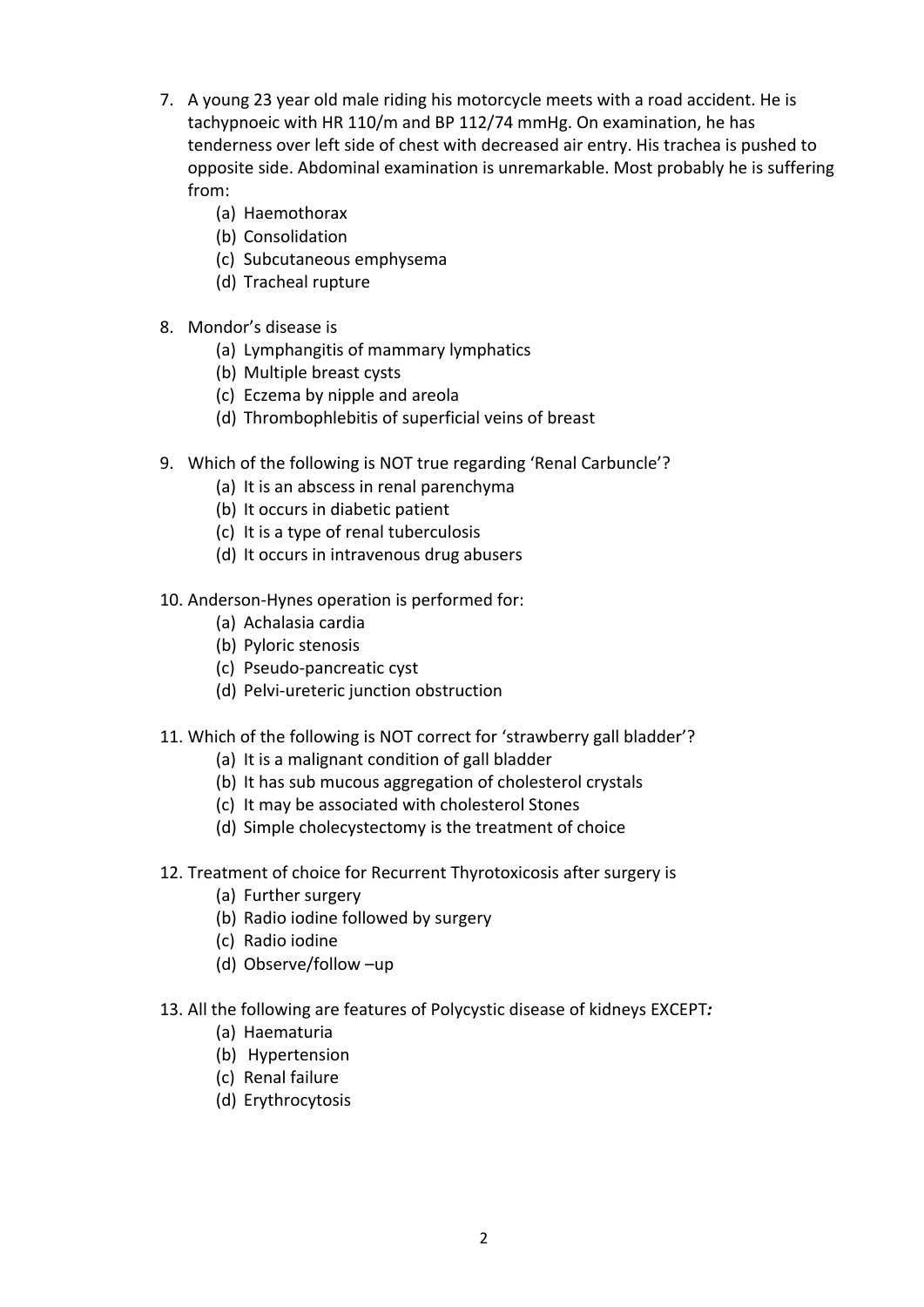- 7. A young 23 year old male riding his motorcycle meets with a road accident. He is tachypnoeic with HR 110/m and BP 112/74 mmHg. On examination, he has tenderness over left side of chest with decreased air entry. His trachea is pushed to opposite side. Abdominal examination is unremarkable. Most probably he is suffering from:
	- (a) Haemothorax
	- (b) Consolidation
	- (c) Subcutaneous emphysema
	- (d) Tracheal rupture
- 8. Mondor's disease is
	- (a) Lymphangitis of mammary lymphatics
	- (b) Multiple breast cysts
	- (c) Eczema by nipple and areola
	- (d) Thrombophlebitis of superficial veins of breast
- 9. Which of the following is NOT true regarding 'Renal Carbuncle'?
	- (a) It is an abscess in renal parenchyma
	- (b) It occurs in diabetic patient
	- (c) It is a type of renal tuberculosis
	- (d) It occurs in intravenous drug abusers
- 10. Anderson‐Hynes operation is performed for:
	- (a) Achalasia cardia
	- (b) Pyloric stenosis
	- (c) Pseudo‐pancreatic cyst
	- (d) Pelvi‐ureteric junction obstruction
- 11. Which of the following is NOT correct for 'strawberry gall bladder'?
	- (a) It is a malignant condition of gall bladder
	- (b) It has sub mucous aggregation of cholesterol crystals
	- (c) It may be associated with cholesterol Stones
	- (d) Simple cholecystectomy is the treatment of choice
- 12. Treatment of choice for Recurrent Thyrotoxicosis after surgery is
	- (a) Further surgery
	- (b) Radio iodine followed by surgery
	- (c) Radio iodine
	- (d) Observe/follow –up
- 13. All the following are features of Polycystic disease of kidneys EXCEPT*:*
	- (a) Haematuria
	- (b) Hypertension
	- (c) Renal failure
	- (d) Erythrocytosis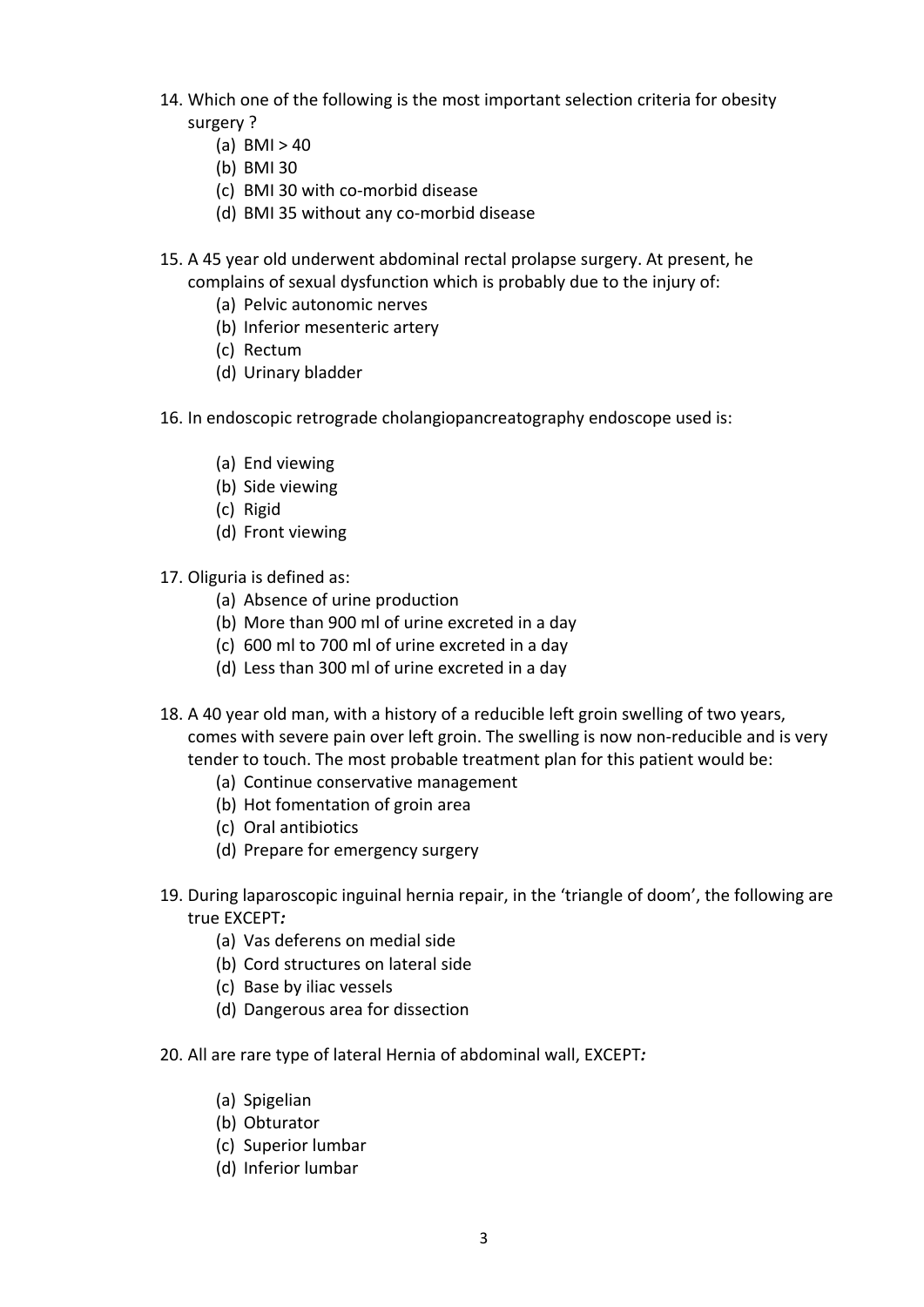- 14. Which one of the following is the most important selection criteria for obesity surgery ?
	- (a)  $BMI > 40$
	- (b) BMI 30
	- (c) BMI 30 with co‐morbid disease
	- (d) BMI 35 without any co‐morbid disease
- 15. A 45 year old underwent abdominal rectal prolapse surgery. At present, he complains of sexual dysfunction which is probably due to the injury of:
	- (a) Pelvic autonomic nerves
	- (b) Inferior mesenteric artery
	- (c) Rectum
	- (d) Urinary bladder
- 16. In endoscopic retrograde cholangiopancreatography endoscope used is:
	- (a) End viewing
	- (b) Side viewing
	- (c) Rigid
	- (d) Front viewing
- 17. Oliguria is defined as:
	- (a) Absence of urine production
	- (b) More than 900 ml of urine excreted in a day
	- (c) 600 ml to 700 ml of urine excreted in a day
	- (d) Less than 300 ml of urine excreted in a day
- 18. A 40 year old man, with a history of a reducible left groin swelling of two years, comes with severe pain over left groin. The swelling is now non‐reducible and is very tender to touch. The most probable treatment plan for this patient would be:
	- (a) Continue conservative management
	- (b) Hot fomentation of groin area
	- (c) Oral antibiotics
	- (d) Prepare for emergency surgery
- 19. During laparoscopic inguinal hernia repair, in the 'triangle of doom', the following are true EXCEPT*:*
	- (a) Vas deferens on medial side
	- (b) Cord structures on lateral side
	- (c) Base by iliac vessels
	- (d) Dangerous area for dissection
- 20. All are rare type of lateral Hernia of abdominal wall, EXCEPT*:*
	- (a) Spigelian
	- (b) Obturator
	- (c) Superior lumbar
	- (d) Inferior lumbar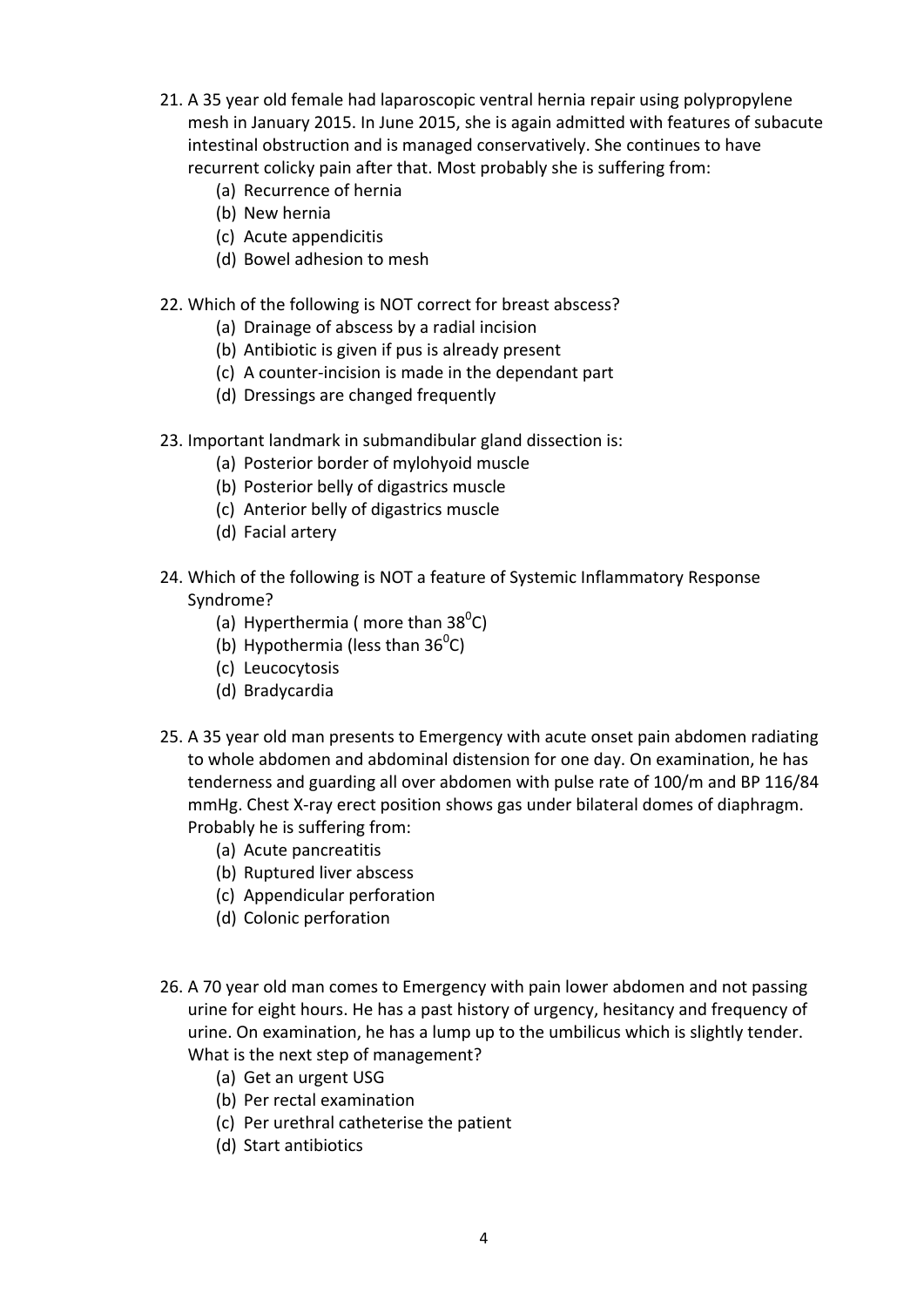- 21. A 35 year old female had laparoscopic ventral hernia repair using polypropylene mesh in January 2015. In June 2015, she is again admitted with features of subacute intestinal obstruction and is managed conservatively. She continues to have recurrent colicky pain after that. Most probably she is suffering from:
	- (a) Recurrence of hernia
	- (b) New hernia
	- (c) Acute appendicitis
	- (d) Bowel adhesion to mesh
- 22. Which of the following is NOT correct for breast abscess?
	- (a) Drainage of abscess by a radial incision
	- (b) Antibiotic is given if pus is already present
	- (c) A counter‐incision is made in the dependant part
	- (d) Dressings are changed frequently
- 23. Important landmark in submandibular gland dissection is:
	- (a) Posterior border of mylohyoid muscle
	- (b) Posterior belly of digastrics muscle
	- (c) Anterior belly of digastrics muscle
	- (d) Facial artery
- 24. Which of the following is NOT a feature of Systemic Inflammatory Response Syndrome?
	- (a) Hyperthermia (more than  $38^{\circ}$ C)
	- (b) Hypothermia (less than  $36^{\circ}$ C)
	- (c) Leucocytosis
	- (d) Bradycardia
- 25. A 35 year old man presents to Emergency with acute onset pain abdomen radiating to whole abdomen and abdominal distension for one day. On examination, he has tenderness and guarding all over abdomen with pulse rate of 100/m and BP 116/84 mmHg. Chest X‐ray erect position shows gas under bilateral domes of diaphragm. Probably he is suffering from:
	- (a) Acute pancreatitis
	- (b) Ruptured liver abscess
	- (c) Appendicular perforation
	- (d) Colonic perforation
- 26. A 70 year old man comes to Emergency with pain lower abdomen and not passing urine for eight hours. He has a past history of urgency, hesitancy and frequency of urine. On examination, he has a lump up to the umbilicus which is slightly tender. What is the next step of management?
	- (a) Get an urgent USG
	- (b) Per rectal examination
	- (c) Per urethral catheterise the patient
	- (d) Start antibiotics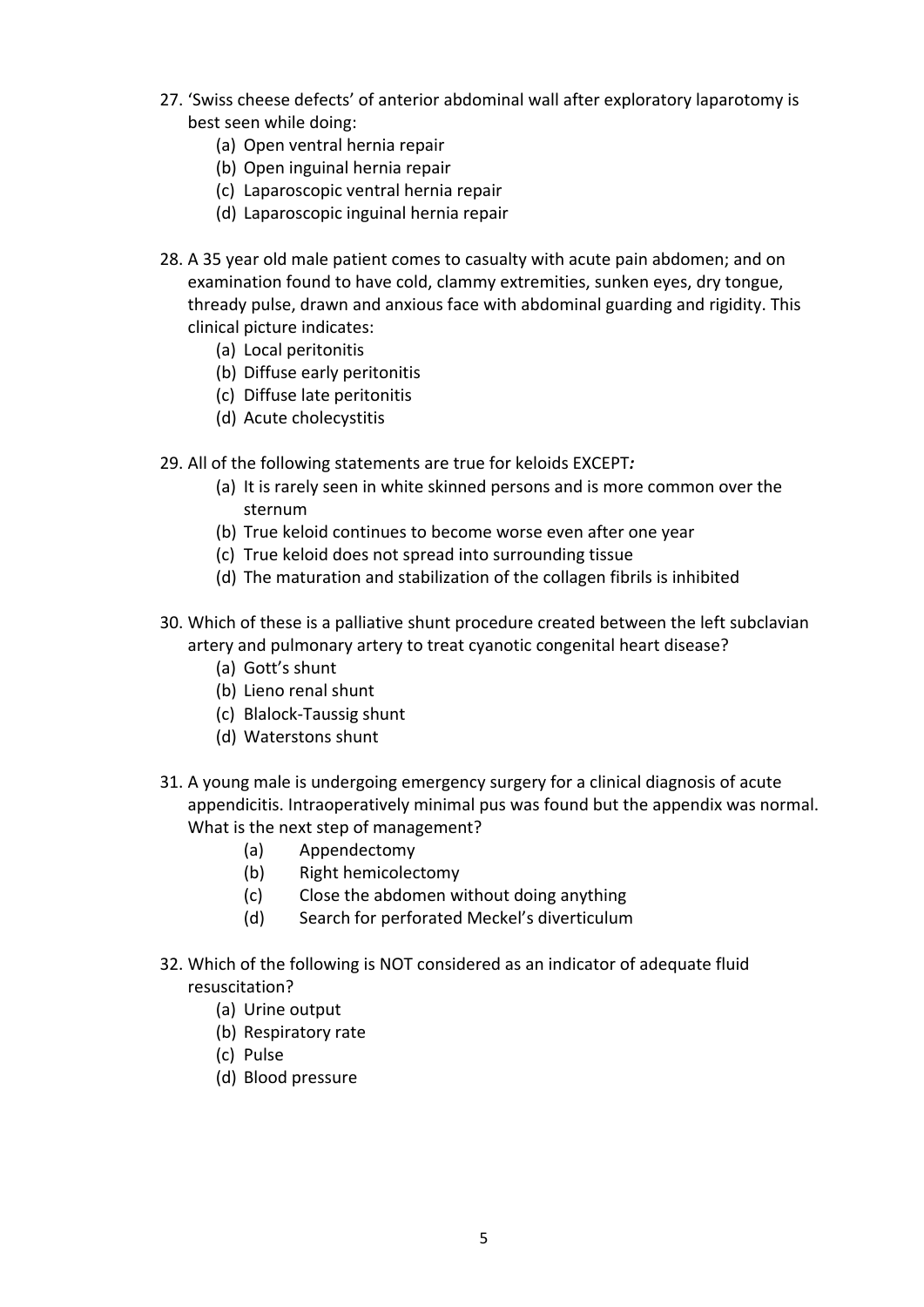- 27. 'Swiss cheese defects' of anterior abdominal wall after exploratory laparotomy is best seen while doing:
	- (a) Open ventral hernia repair
	- (b) Open inguinal hernia repair
	- (c) Laparoscopic ventral hernia repair
	- (d) Laparoscopic inguinal hernia repair
- 28. A 35 year old male patient comes to casualty with acute pain abdomen; and on examination found to have cold, clammy extremities, sunken eyes, dry tongue, thready pulse, drawn and anxious face with abdominal guarding and rigidity. This clinical picture indicates:
	- (a) Local peritonitis
	- (b) Diffuse early peritonitis
	- (c) Diffuse late peritonitis
	- (d) Acute cholecystitis
- 29. All of the following statements are true for keloids EXCEPT*:*
	- (a) It is rarely seen in white skinned persons and is more common over the sternum
	- (b) True keloid continues to become worse even after one year
	- (c) True keloid does not spread into surrounding tissue
	- (d) The maturation and stabilization of the collagen fibrils is inhibited
- 30. Which of these is a palliative shunt procedure created between the left subclavian artery and pulmonary artery to treat cyanotic congenital heart disease?
	- (a) Gott's shunt
	- (b) Lieno renal shunt
	- (c) Blalock‐Taussig shunt
	- (d) Waterstons shunt
- 31. A young male is undergoing emergency surgery for a clinical diagnosis of acute appendicitis. Intraoperatively minimal pus was found but the appendix was normal. What is the next step of management?
	- (a) Appendectomy
	- (b) Right hemicolectomy
	- (c) Close the abdomen without doing anything
	- (d) Search for perforated Meckel's diverticulum
- 32. Which of the following is NOT considered as an indicator of adequate fluid resuscitation?
	- (a) Urine output
	- (b) Respiratory rate
	- (c) Pulse
	- (d) Blood pressure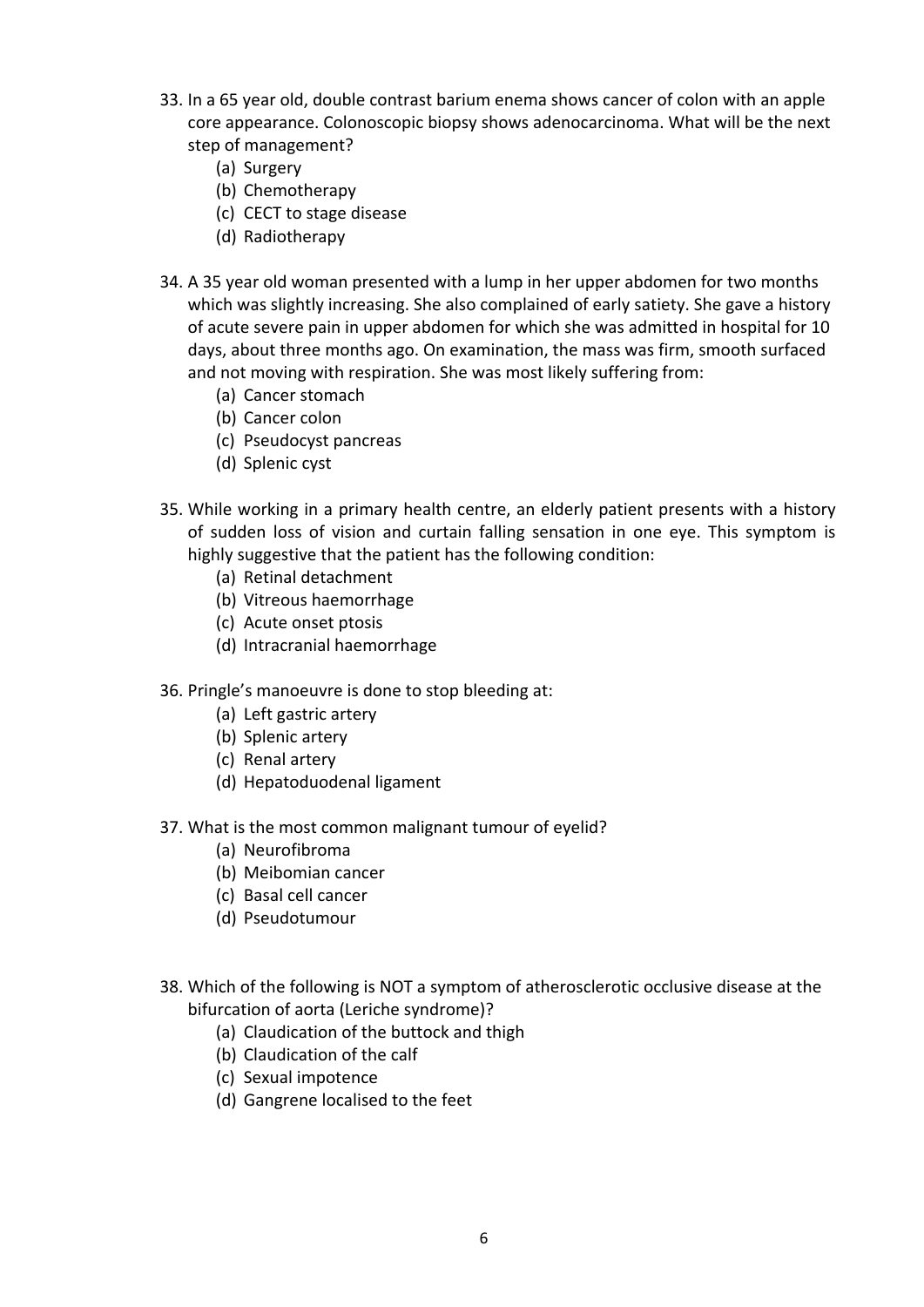- 33. In a 65 year old, double contrast barium enema shows cancer of colon with an apple core appearance. Colonoscopic biopsy shows adenocarcinoma. What will be the next step of management?
	- (a) Surgery
	- (b) Chemotherapy
	- (c) CECT to stage disease
	- (d) Radiotherapy
- 34. A 35 year old woman presented with a lump in her upper abdomen for two months which was slightly increasing. She also complained of early satiety. She gave a history of acute severe pain in upper abdomen for which she was admitted in hospital for 10 days, about three months ago. On examination, the mass was firm, smooth surfaced and not moving with respiration. She was most likely suffering from:
	- (a) Cancer stomach
	- (b) Cancer colon
	- (c) Pseudocyst pancreas
	- (d) Splenic cyst
- 35. While working in a primary health centre, an elderly patient presents with a history of sudden loss of vision and curtain falling sensation in one eye. This symptom is highly suggestive that the patient has the following condition:
	- (a) Retinal detachment
	- (b) Vitreous haemorrhage
	- (c) Acute onset ptosis
	- (d) Intracranial haemorrhage
- 36. Pringle's manoeuvre is done to stop bleeding at:
	- (a) Left gastric artery
	- (b) Splenic artery
	- (c) Renal artery
	- (d) Hepatoduodenal ligament
- 37. What is the most common malignant tumour of eyelid?
	- (a) Neurofibroma
	- (b) Meibomian cancer
	- (c) Basal cell cancer
	- (d) Pseudotumour
- 38. Which of the following is NOT a symptom of atherosclerotic occlusive disease at the bifurcation of aorta (Leriche syndrome)?
	- (a) Claudication of the buttock and thigh
	- (b) Claudication of the calf
	- (c) Sexual impotence
	- (d) Gangrene localised to the feet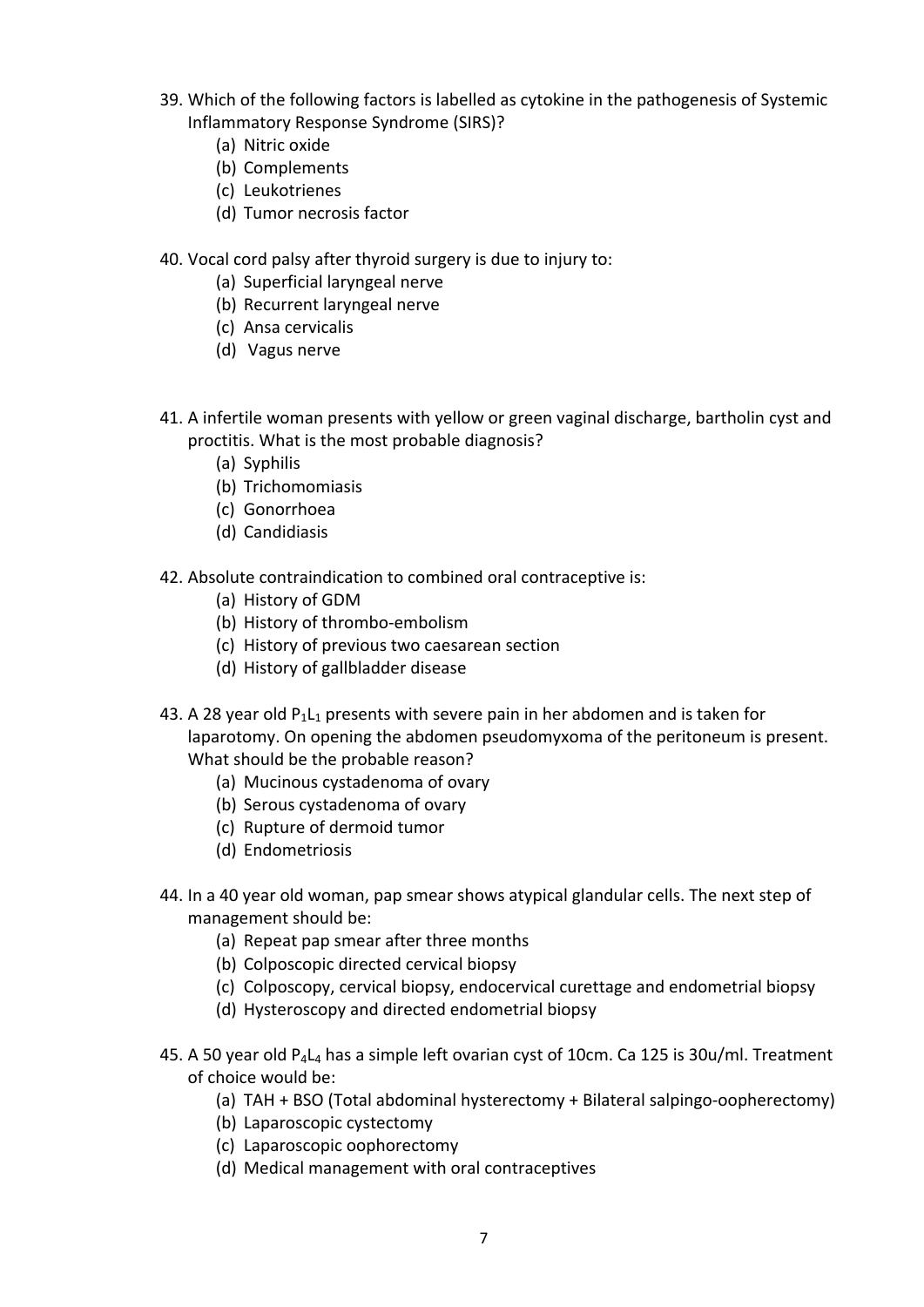- 39. Which of the following factors is labelled as cytokine in the pathogenesis of Systemic Inflammatory Response Syndrome (SIRS)?
	- (a) Nitric oxide
	- (b) Complements
	- (c) Leukotrienes
	- (d) Tumor necrosis factor
- 40. Vocal cord palsy after thyroid surgery is due to injury to:
	- (a) Superficial laryngeal nerve
	- (b) Recurrent laryngeal nerve
	- (c) Ansa cervicalis
	- (d) Vagus nerve
- 41. A infertile woman presents with yellow or green vaginal discharge, bartholin cyst and proctitis. What is the most probable diagnosis?
	- (a) Syphilis
	- (b) Trichomomiasis
	- (c) Gonorrhoea
	- (d) Candidiasis
- 42. Absolute contraindication to combined oral contraceptive is:
	- (a) History of GDM
	- (b) History of thrombo‐embolism
	- (c) History of previous two caesarean section
	- (d) History of gallbladder disease
- 43. A 28 year old  $P_1L_1$  presents with severe pain in her abdomen and is taken for laparotomy. On opening the abdomen pseudomyxoma of the peritoneum is present. What should be the probable reason?
	- (a) Mucinous cystadenoma of ovary
	- (b) Serous cystadenoma of ovary
	- (c) Rupture of dermoid tumor
	- (d) Endometriosis
- 44. In a 40 year old woman, pap smear shows atypical glandular cells. The next step of management should be:
	- (a) Repeat pap smear after three months
	- (b) Colposcopic directed cervical biopsy
	- (c) Colposcopy, cervical biopsy, endocervical curettage and endometrial biopsy
	- (d) Hysteroscopy and directed endometrial biopsy
- 45. A 50 year old  $P_4L_4$  has a simple left ovarian cyst of 10cm. Ca 125 is 30u/ml. Treatment of choice would be:
	- (a) TAH + BSO (Total abdominal hysterectomy + Bilateral salpingo‐oopherectomy)
	- (b) Laparoscopic cystectomy
	- (c) Laparoscopic oophorectomy
	- (d) Medical management with oral contraceptives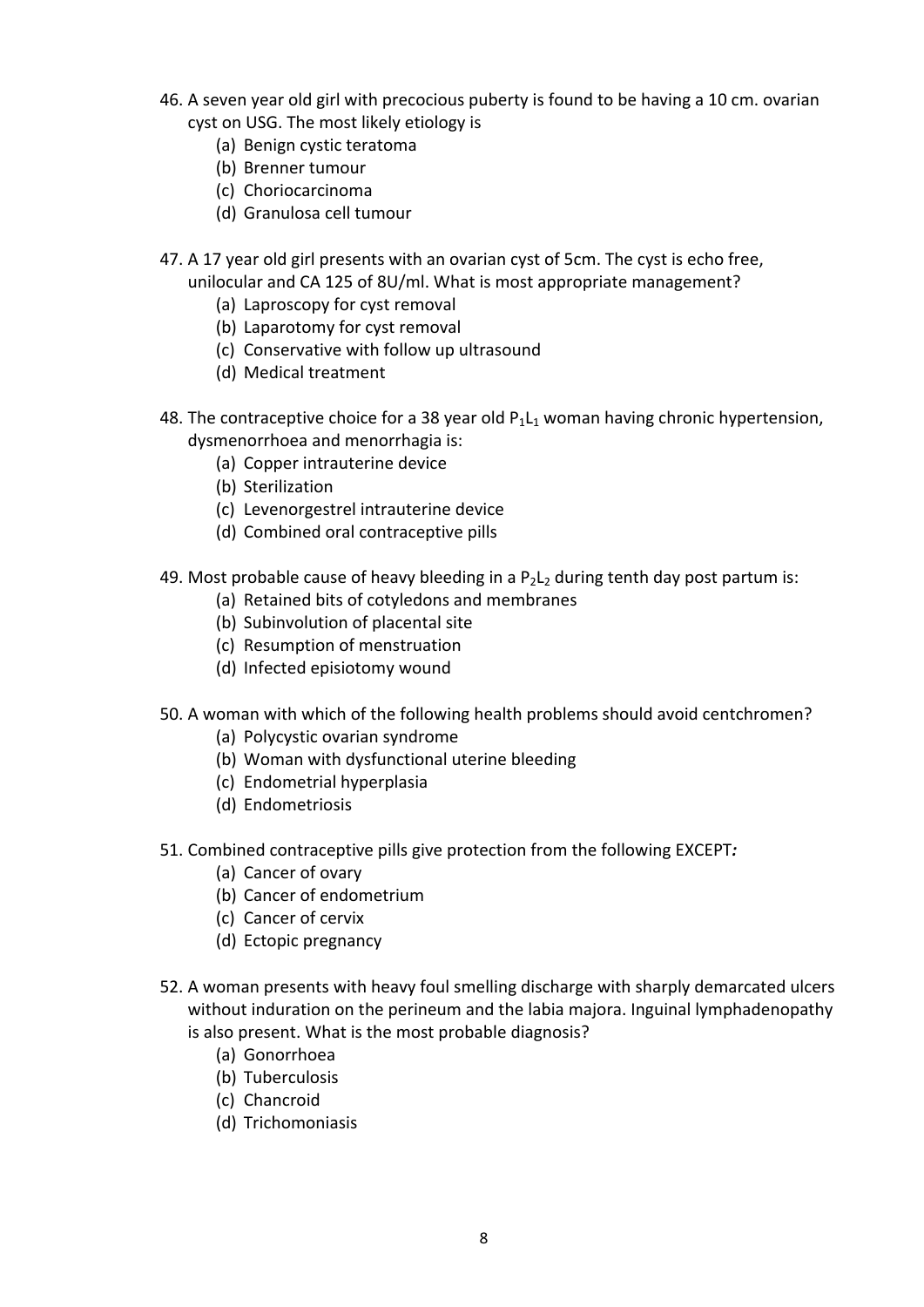- 46. A seven year old girl with precocious puberty is found to be having a 10 cm. ovarian cyst on USG. The most likely etiology is
	- (a) Benign cystic teratoma
	- (b) Brenner tumour
	- (c) Choriocarcinoma
	- (d) Granulosa cell tumour
- 47. A 17 year old girl presents with an ovarian cyst of 5cm. The cyst is echo free, unilocular and CA 125 of 8U/ml. What is most appropriate management?
	- (a) Laproscopy for cyst removal
	- (b) Laparotomy for cyst removal
	- (c) Conservative with follow up ultrasound
	- (d) Medical treatment
- 48. The contraceptive choice for a 38 year old  $P_1L_1$  woman having chronic hypertension, dysmenorrhoea and menorrhagia is:
	- (a) Copper intrauterine device
	- (b) Sterilization
	- (c) Levenorgestrel intrauterine device
	- (d) Combined oral contraceptive pills
- 49. Most probable cause of heavy bleeding in a  $P_2L_2$  during tenth day post partum is:
	- (a) Retained bits of cotyledons and membranes
	- (b) Subinvolution of placental site
	- (c) Resumption of menstruation
	- (d) Infected episiotomy wound
- 50. A woman with which of the following health problems should avoid centchromen?
	- (a) Polycystic ovarian syndrome
	- (b) Woman with dysfunctional uterine bleeding
	- (c) Endometrial hyperplasia
	- (d) Endometriosis
- 51. Combined contraceptive pills give protection from the following EXCEPT*:*
	- (a) Cancer of ovary
	- (b) Cancer of endometrium
	- (c) Cancer of cervix
	- (d) Ectopic pregnancy
- 52. A woman presents with heavy foul smelling discharge with sharply demarcated ulcers without induration on the perineum and the labia majora. Inguinal lymphadenopathy is also present. What is the most probable diagnosis?
	- (a) Gonorrhoea
	- (b) Tuberculosis
	- (c) Chancroid
	- (d) Trichomoniasis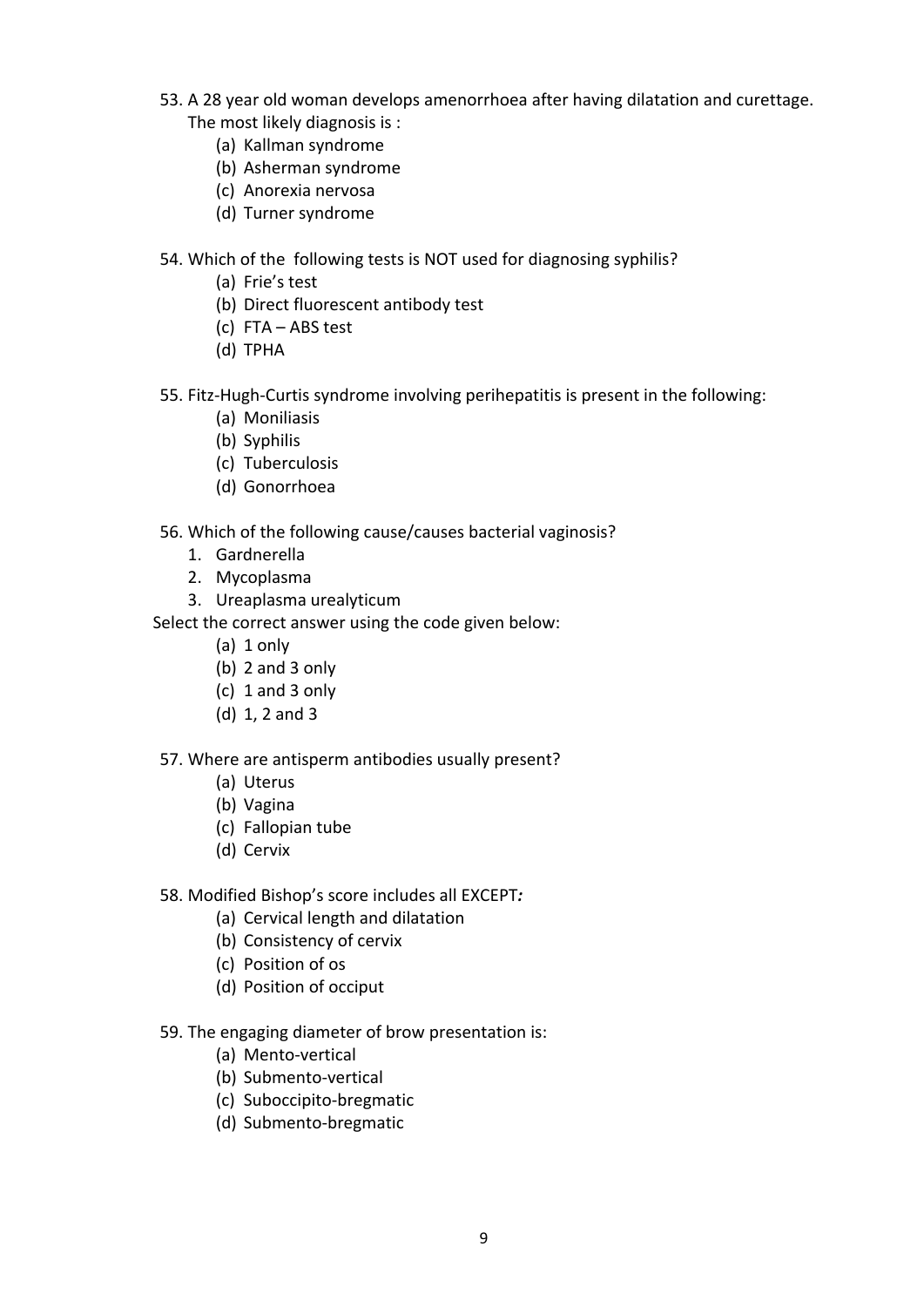- 53. A 28 year old woman develops amenorrhoea after having dilatation and curettage. The most likely diagnosis is :
	- (a) Kallman syndrome
	- (b) Asherman syndrome
	- (c) Anorexia nervosa
	- (d) Turner syndrome
- 54. Which of the following tests is NOT used for diagnosing syphilis?
	- (a) Frie's test
	- (b) Direct fluorescent antibody test
	- (c) FTA ABS test
	- (d) TPHA
- 55. Fitz‐Hugh‐Curtis syndrome involving perihepatitis is present in the following:
	- (a) Moniliasis
	- (b) Syphilis
	- (c) Tuberculosis
	- (d) Gonorrhoea
- 56. Which of the following cause/causes bacterial vaginosis?
	- 1. Gardnerella
	- 2. Mycoplasma
	- 3. Ureaplasma urealyticum

- (a) 1 only
- (b) 2 and 3 only
- (c) 1 and 3 only
- (d) 1, 2 and 3
- 57. Where are antisperm antibodies usually present?
	- (a) Uterus
	- (b) Vagina
	- (c) Fallopian tube
	- (d) Cervix
- 58. Modified Bishop's score includes all EXCEPT*:*
	- (a) Cervical length and dilatation
	- (b) Consistency of cervix
	- (c) Position of os
	- (d) Position of occiput
- 59. The engaging diameter of brow presentation is:
	- (a) Mento‐vertical
	- (b) Submento‐vertical
	- (c) Suboccipito‐bregmatic
	- (d) Submento‐bregmatic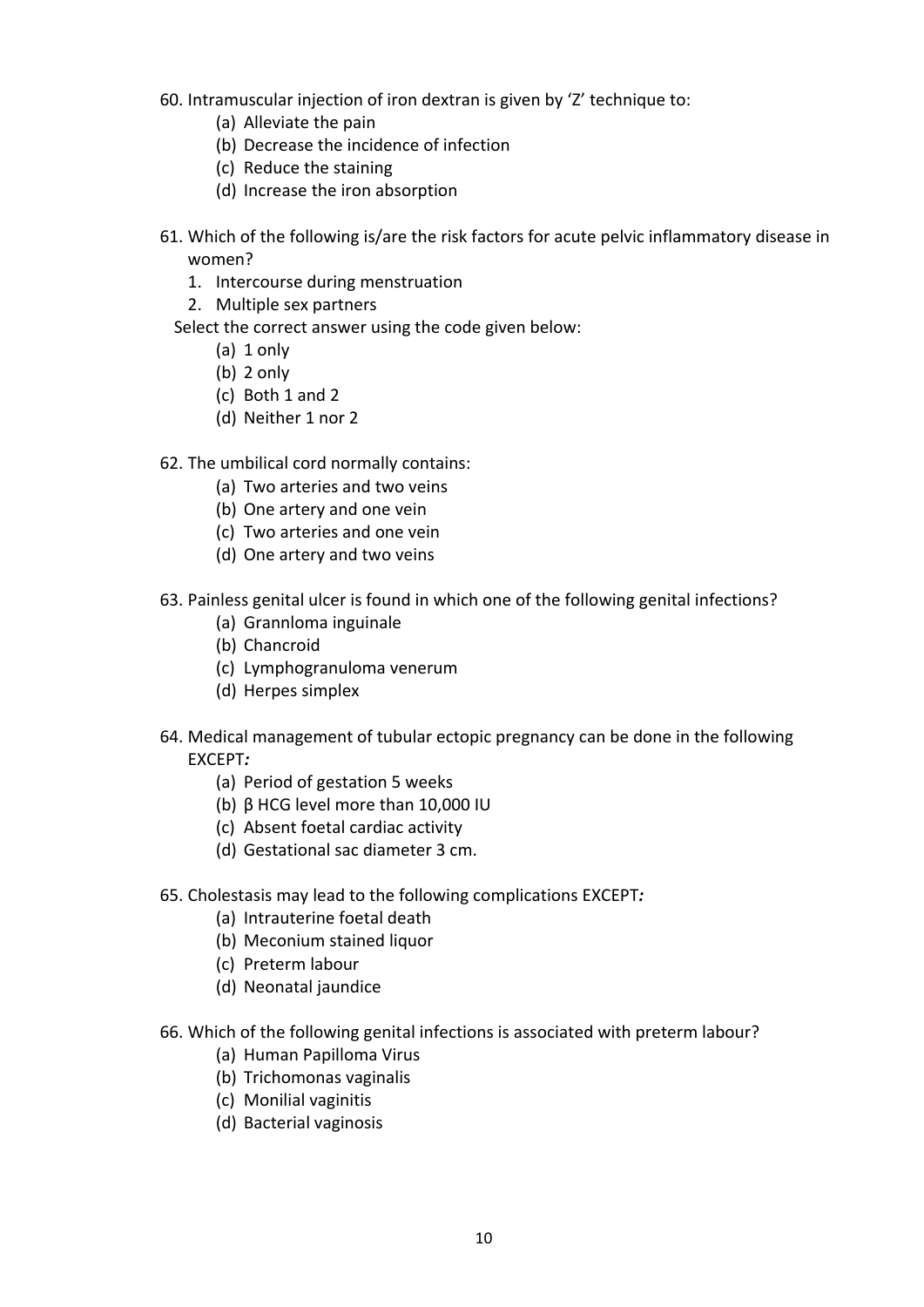60. Intramuscular injection of iron dextran is given by 'Z' technique to:

- (a) Alleviate the pain
- (b) Decrease the incidence of infection
- (c) Reduce the staining
- (d) Increase the iron absorption
- 61. Which of the following is/are the risk factors for acute pelvic inflammatory disease in women?
	- 1. Intercourse during menstruation
	- 2. Multiple sex partners
	- Select the correct answer using the code given below:
		- (a) 1 only
		- (b) 2 only
		- (c) Both 1 and 2
		- (d) Neither 1 nor 2
- 62. The umbilical cord normally contains:
	- (a) Two arteries and two veins
	- (b) One artery and one vein
	- (c) Two arteries and one vein
	- (d) One artery and two veins
- 63. Painless genital ulcer is found in which one of the following genital infections?
	- (a) Grannloma inguinale
	- (b) Chancroid
	- (c) Lymphogranuloma venerum
	- (d) Herpes simplex
- 64. Medical management of tubular ectopic pregnancy can be done in the following EXCEPT*:*
	- (a) Period of gestation 5 weeks
	- (b) β HCG level more than 10,000 IU
	- (c) Absent foetal cardiac activity
	- (d) Gestational sac diameter 3 cm.
- 65. Cholestasis may lead to the following complications EXCEPT*:*
	- (a) Intrauterine foetal death
	- (b) Meconium stained liquor
	- (c) Preterm labour
	- (d) Neonatal jaundice
- 66. Which of the following genital infections is associated with preterm labour?
	- (a) Human Papilloma Virus
	- (b) Trichomonas vaginalis
	- (c) Monilial vaginitis
	- (d) Bacterial vaginosis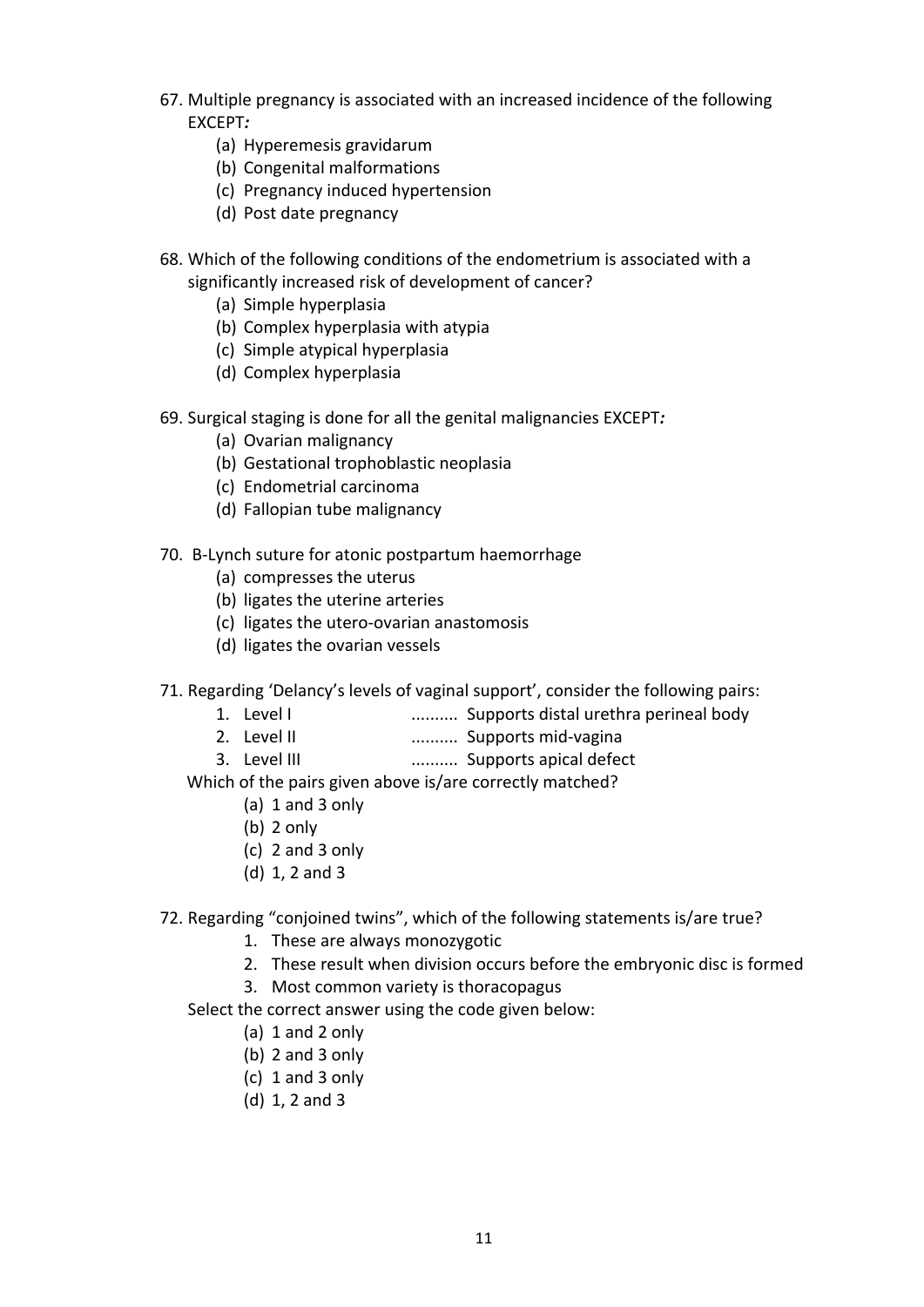- 67. Multiple pregnancy is associated with an increased incidence of the following EXCEPT*:*
	- (a) Hyperemesis gravidarum
	- (b) Congenital malformations
	- (c) Pregnancy induced hypertension
	- (d) Post date pregnancy
- 68. Which of the following conditions of the endometrium is associated with a significantly increased risk of development of cancer?
	- (a) Simple hyperplasia
	- (b) Complex hyperplasia with atypia
	- (c) Simple atypical hyperplasia
	- (d) Complex hyperplasia
- 69. Surgical staging is done for all the genital malignancies EXCEPT*:*
	- (a) Ovarian malignancy
	- (b) Gestational trophoblastic neoplasia
	- (c) Endometrial carcinoma
	- (d) Fallopian tube malignancy
- 70. B‐Lynch suture for atonic postpartum haemorrhage
	- (a) compresses the uterus
	- (b) ligates the uterine arteries
	- (c) ligates the utero‐ovarian anastomosis
	- (d) ligates the ovarian vessels
- 71. Regarding 'Delancy's levels of vaginal support', consider the following pairs:
	- 1. Level I .......... Supports distal urethra perineal body
	- 2. Level II .......... Supports mid‐vagina
	- 3. Level III .......... Supports apical defect

Which of the pairs given above is/are correctly matched?

- (a) 1 and 3 only
- (b) 2 only
- (c) 2 and 3 only
- (d) 1, 2 and 3
- 72. Regarding "conjoined twins", which of the following statements is/are true?
	- 1. These are always monozygotic
	- 2. These result when division occurs before the embryonic disc is formed
	- 3. Most common variety is thoracopagus
	- Select the correct answer using the code given below:
		- (a) 1 and 2 only
		- (b) 2 and 3 only
		- (c) 1 and 3 only
		- (d) 1, 2 and 3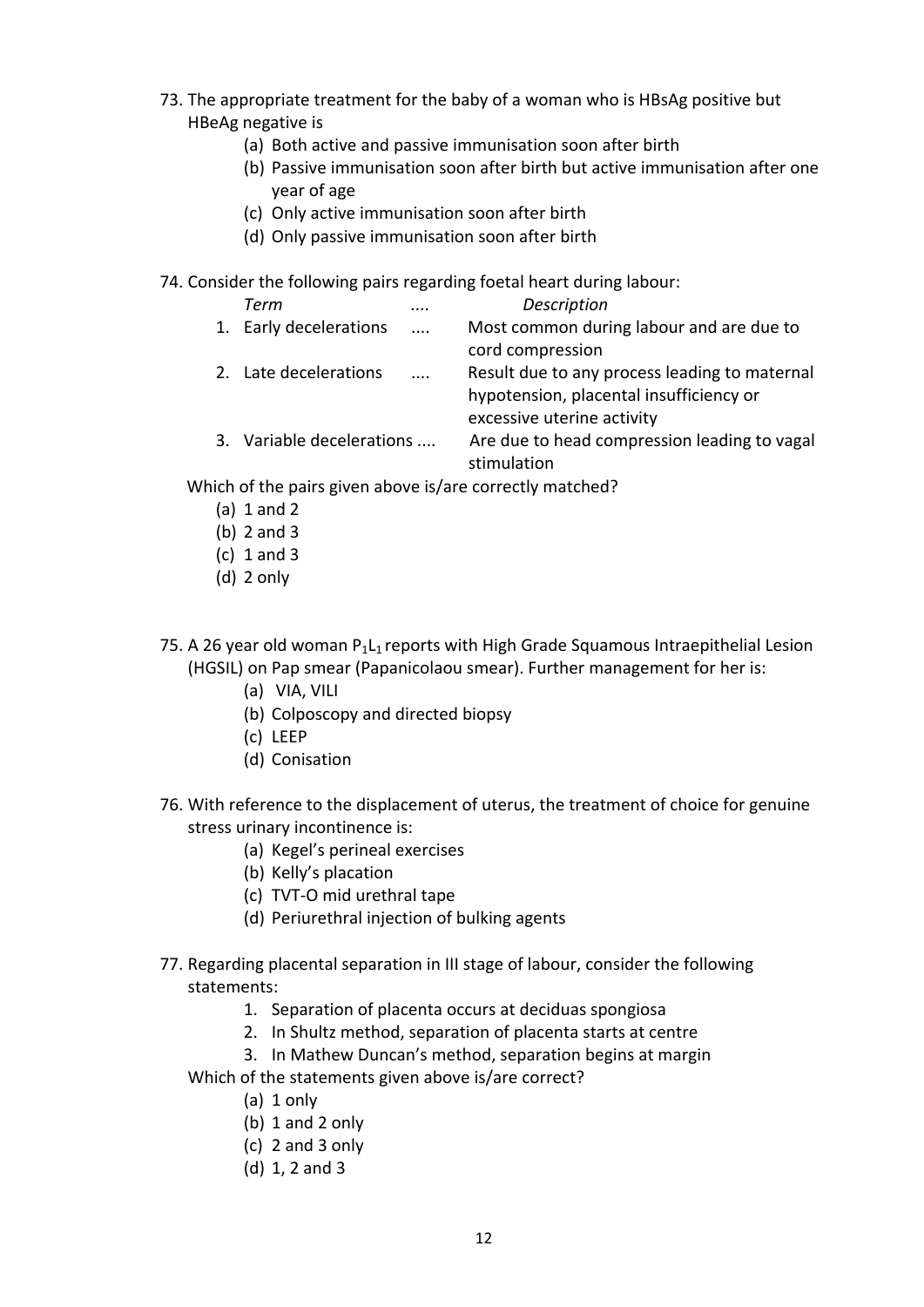- 73. The appropriate treatment for the baby of a woman who is HBsAg positive but HBeAg negative is
	- (a) Both active and passive immunisation soon after birth
	- (b) Passive immunisation soon after birth but active immunisation after one year of age
	- (c) Only active immunisation soon after birth
	- (d) Only passive immunisation soon after birth

74. Consider the following pairs regarding foetal heart during labour:

| Term                      |          | Description                                   |
|---------------------------|----------|-----------------------------------------------|
| 1. Early decelerations    | $\cdots$ | Most common during labour and are due to      |
|                           |          | cord compression                              |
| 2. Late decelerations     | .        | Result due to any process leading to maternal |
|                           |          | hypotension, placental insufficiency or       |
|                           |          | excessive uterine activity                    |
| 3. Variable decelerations |          | Are due to head compression leading to vagal  |
|                           |          | stimulation                                   |

Which of the pairs given above is/are correctly matched?

- (a) 1 and 2
- (b) 2 and 3
- (c) 1 and 3
- (d) 2 only
- 75. A 26 year old woman  $P_1L_1$  reports with High Grade Squamous Intraepithelial Lesion (HGSIL) on Pap smear (Papanicolaou smear). Further management for her is:
	- (a) VIA, VILI
	- (b) Colposcopy and directed biopsy
	- (c) LEEP
	- (d) Conisation
- 76. With reference to the displacement of uterus, the treatment of choice for genuine stress urinary incontinence is:
	- (a) Kegel's perineal exercises
	- (b) Kelly's placation
	- (c) TVT‐O mid urethral tape
	- (d) Periurethral injection of bulking agents
- 77. Regarding placental separation in III stage of labour, consider the following statements:
	- 1. Separation of placenta occurs at deciduas spongiosa
	- 2. In Shultz method, separation of placenta starts at centre
	- 3. In Mathew Duncan's method, separation begins at margin
	- Which of the statements given above is/are correct?
		- (a) 1 only
		- (b) 1 and 2 only
		- (c) 2 and 3 only
		- (d) 1, 2 and 3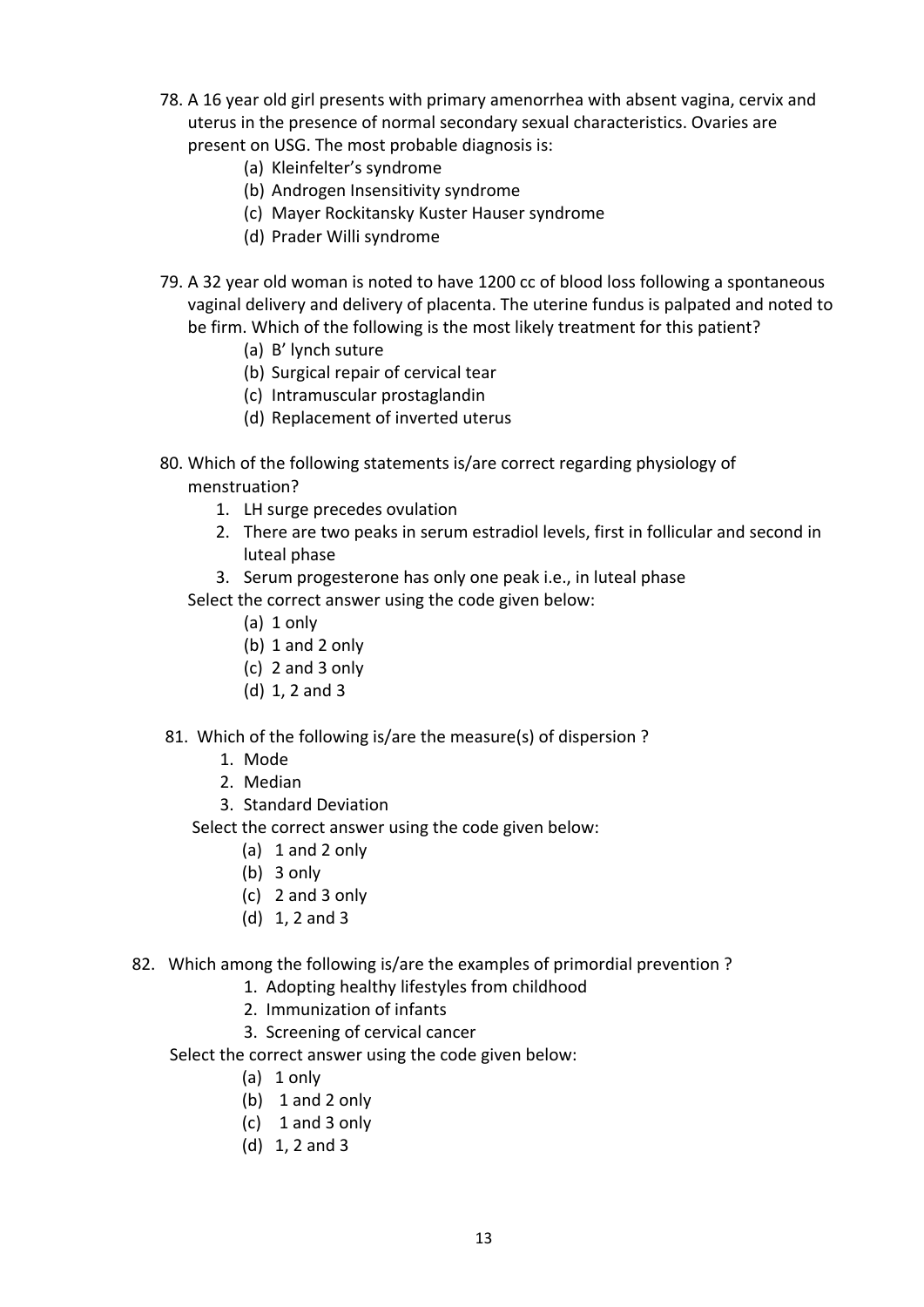- 78. A 16 year old girl presents with primary amenorrhea with absent vagina, cervix and uterus in the presence of normal secondary sexual characteristics. Ovaries are present on USG. The most probable diagnosis is:
	- (a) Kleinfelter's syndrome
	- (b) Androgen Insensitivity syndrome
	- (c) Mayer Rockitansky Kuster Hauser syndrome
	- (d) Prader Willi syndrome
- 79. A 32 year old woman is noted to have 1200 cc of blood loss following a spontaneous vaginal delivery and delivery of placenta. The uterine fundus is palpated and noted to be firm. Which of the following is the most likely treatment for this patient?
	- (a) B' lynch suture
	- (b) Surgical repair of cervical tear
	- (c) Intramuscular prostaglandin
	- (d) Replacement of inverted uterus
- 80. Which of the following statements is/are correct regarding physiology of menstruation?
	- 1. LH surge precedes ovulation
	- 2. There are two peaks in serum estradiol levels, first in follicular and second in luteal phase
	- 3. Serum progesterone has only one peak i.e., in luteal phase
	- Select the correct answer using the code given below:
		- (a) 1 only
		- (b) 1 and 2 only
		- (c) 2 and 3 only
		- (d) 1, 2 and 3
- 81. Which of the following is/are the measure(s) of dispersion ?
	- 1. Mode
	- 2. Median
	- 3. Standard Deviation
	- Select the correct answer using the code given below:
		- (a) 1 and 2 only
		- (b) 3 only
		- (c) 2 and 3 only
		- (d) 1, 2 and 3
- 82. Which among the following is/are the examples of primordial prevention ?
	- 1. Adopting healthy lifestyles from childhood
	- 2. Immunization of infants
	- 3. Screening of cervical cancer
	- Select the correct answer using the code given below:
		- (a) 1 only
		- (b) 1 and 2 only
		- (c) 1 and 3 only
		- (d) 1, 2 and 3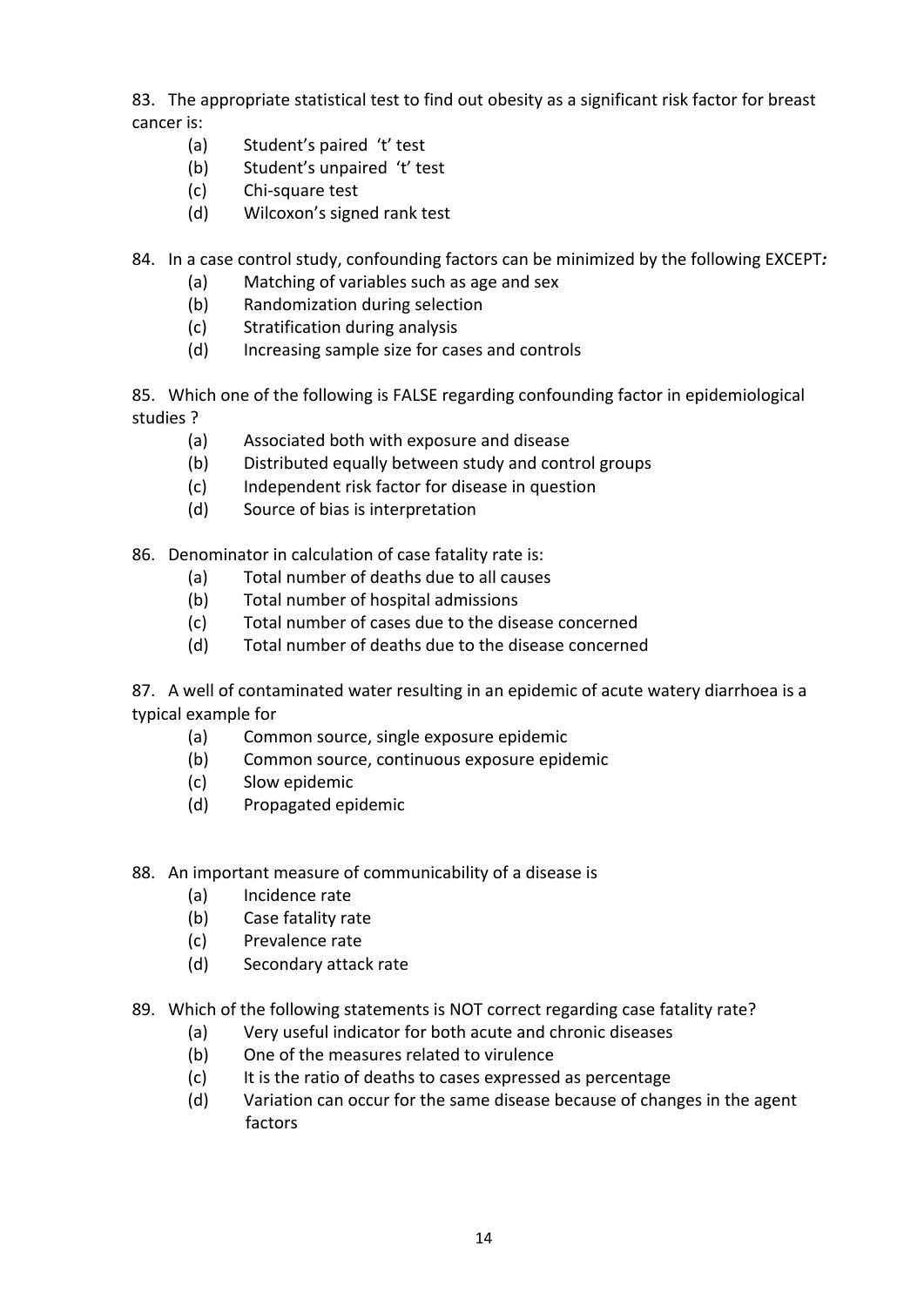83. The appropriate statistical test to find out obesity as a significant risk factor for breast cancer is:

- (a) Student's paired 't' test
- (b) Student's unpaired 't' test
- (c) Chi‐square test
- (d) Wilcoxon's signed rank test
- 84. In a case control study, confounding factors can be minimized by the following EXCEPT*:*
	- (a) Matching of variables such as age and sex
	- (b) Randomization during selection
	- (c) Stratification during analysis
	- (d) Increasing sample size for cases and controls

85. Which one of the following is FALSE regarding confounding factor in epidemiological studies ?

- (a) Associated both with exposure and disease
- (b) Distributed equally between study and control groups
- (c) Independent risk factor for disease in question
- (d) Source of bias is interpretation

86. Denominator in calculation of case fatality rate is:

- (a) Total number of deaths due to all causes
- (b) Total number of hospital admissions
- (c) Total number of cases due to the disease concerned
- (d) Total number of deaths due to the disease concerned

87. A well of contaminated water resulting in an epidemic of acute watery diarrhoea is a typical example for

- (a) Common source, single exposure epidemic
- (b) Common source, continuous exposure epidemic
- (c) Slow epidemic
- (d) Propagated epidemic
- 88. An important measure of communicability of a disease is
	- (a) Incidence rate
	- (b) Case fatality rate
	- (c) Prevalence rate
	- (d) Secondary attack rate
- 89. Which of the following statements is NOT correct regarding case fatality rate?
	- (a) Very useful indicator for both acute and chronic diseases
	- (b) One of the measures related to virulence
	- (c) It is the ratio of deaths to cases expressed as percentage
	- (d) Variation can occur for the same disease because of changes in the agent factors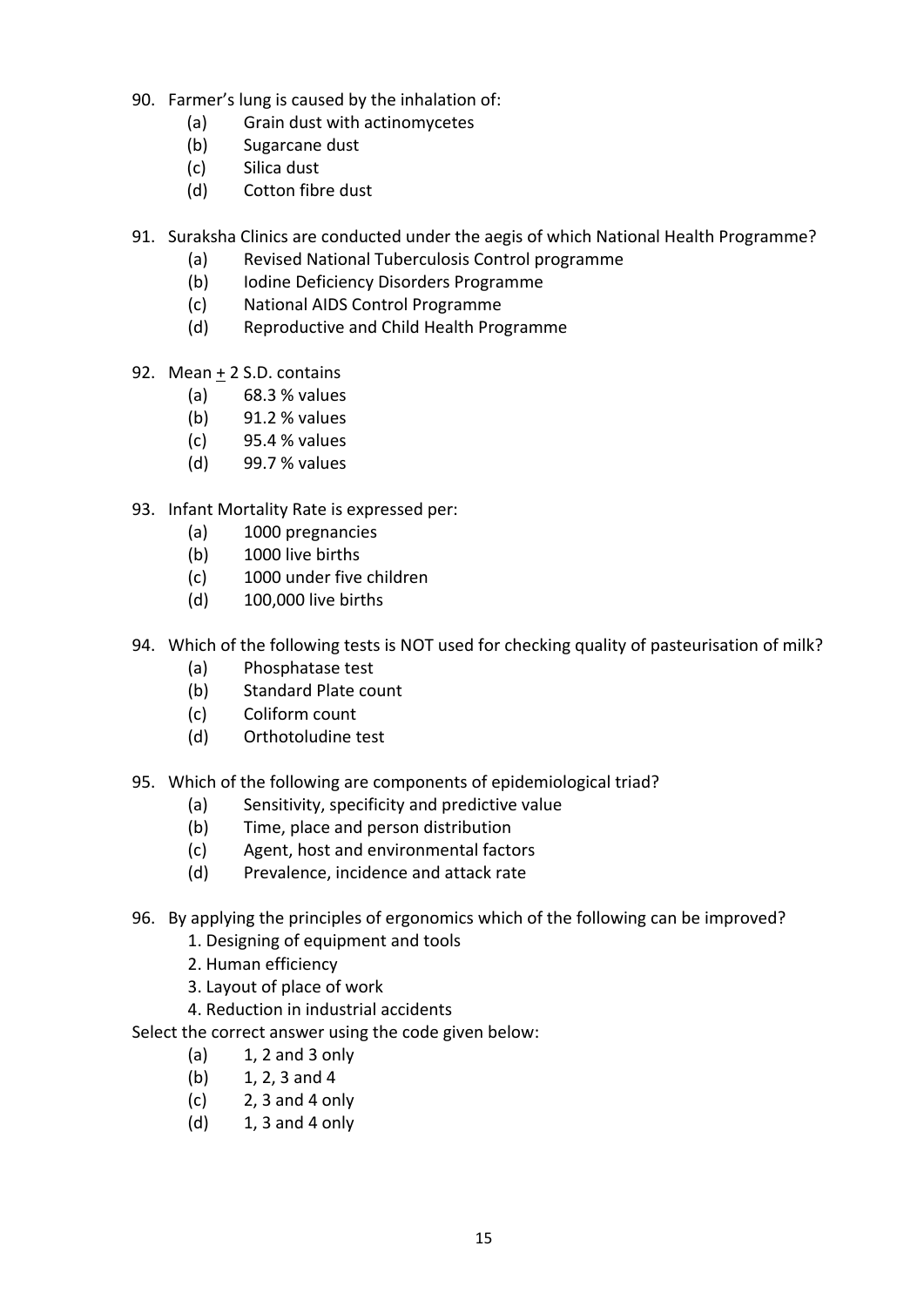- 90. Farmer's lung is caused by the inhalation of:
	- (a) Grain dust with actinomycetes
	- (b) Sugarcane dust
	- (c) Silica dust
	- (d) Cotton fibre dust
- 91. Suraksha Clinics are conducted under the aegis of which National Health Programme?
	- (a) Revised National Tuberculosis Control programme
	- (b) Iodine Deficiency Disorders Programme
	- (c) National AIDS Control Programme
	- (d) Reproductive and Child Health Programme
- 92. Mean + 2 S.D. contains
	- (a) 68.3 % values
	- (b) 91.2 % values
	- (c) 95.4 % values
	- (d) 99.7 % values
- 93. Infant Mortality Rate is expressed per:
	- (a) 1000 pregnancies
	- (b) 1000 live births
	- (c) 1000 under five children
	- (d) 100,000 live births
- 94. Which of the following tests is NOT used for checking quality of pasteurisation of milk?
	- (a) Phosphatase test
	- (b) Standard Plate count
	- (c) Coliform count
	- (d) Orthotoludine test
- 95. Which of the following are components of epidemiological triad?
	- (a) Sensitivity, specificity and predictive value
	- (b) Time, place and person distribution
	- (c) Agent, host and environmental factors
	- (d) Prevalence, incidence and attack rate
- 96. By applying the principles of ergonomics which of the following can be improved?
	- 1. Designing of equipment and tools
	- 2. Human efficiency
	- 3. Layout of place of work
	- 4. Reduction in industrial accidents
- Select the correct answer using the code given below:
	- $(a)$  1, 2 and 3 only
	- (b)  $1, 2, 3$  and 4
	- $(c)$  2, 3 and 4 only
	- $(d)$  1, 3 and 4 only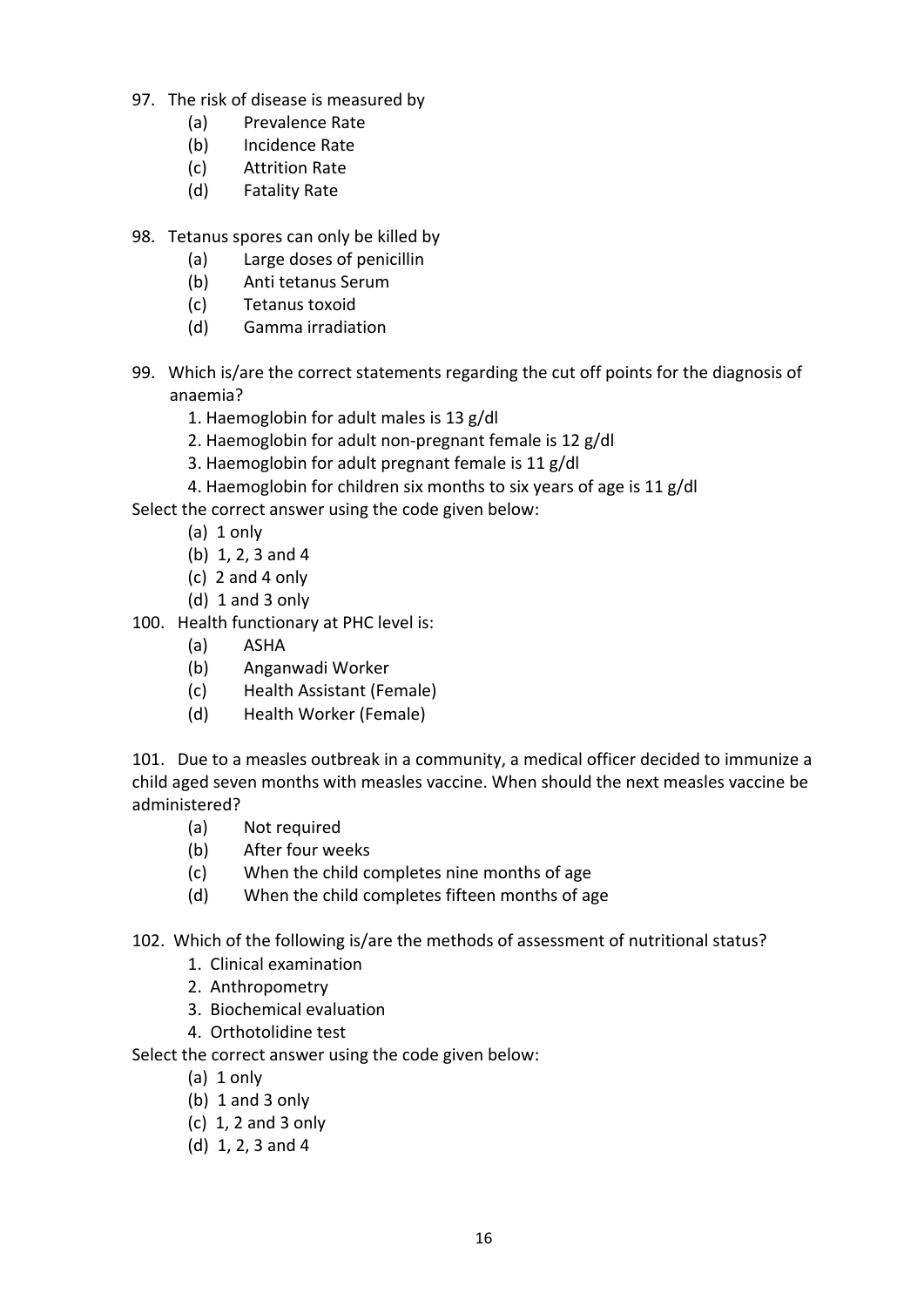- 97. The risk of disease is measured by
	- (a) Prevalence Rate
	- (b) Incidence Rate
	- (c) Attrition Rate
	- (d) Fatality Rate
- 98. Tetanus spores can only be killed by
	- (a) Large doses of penicillin
	- (b) Anti tetanus Serum
	- (c) Tetanus toxoid
	- (d) Gamma irradiation
- 99. Which is/are the correct statements regarding the cut off points for the diagnosis of anaemia?
	- 1. Haemoglobin for adult males is 13 g/dl
	- 2. Haemoglobin for adult non‐pregnant female is 12 g/dl
	- 3. Haemoglobin for adult pregnant female is 11 g/dl
	- 4. Haemoglobin for children six months to six years of age is 11 g/dl
- Select the correct answer using the code given below:
	- $(a)$  1 only
	- (b) 1, 2, 3 and 4
	- $(c)$  2 and 4 only
	- $(d)$  1 and 3 only
- 100. Health functionary at PHC level is:
	- (a) ASHA
	- (b) Anganwadi Worker
	- (c) Health Assistant (Female)
	- (d) Health Worker (Female)

101. Due to a measles outbreak in a community, a medical officer decided to immunize a child aged seven months with measles vaccine. When should the next measles vaccine be administered?

- (a) Not required
- (b) After four weeks
- (c) When the child completes nine months of age
- (d) When the child completes fifteen months of age
- 102. Which of the following is/are the methods of assessment of nutritional status?
	- 1. Clinical examination
	- 2. Anthropometry
	- 3. Biochemical evaluation
	- 4. Orthotolidine test

- $(a)$  1 only
- (b) 1 and 3 only
- (c) 1, 2 and 3 only
- (d) 1, 2, 3 and 4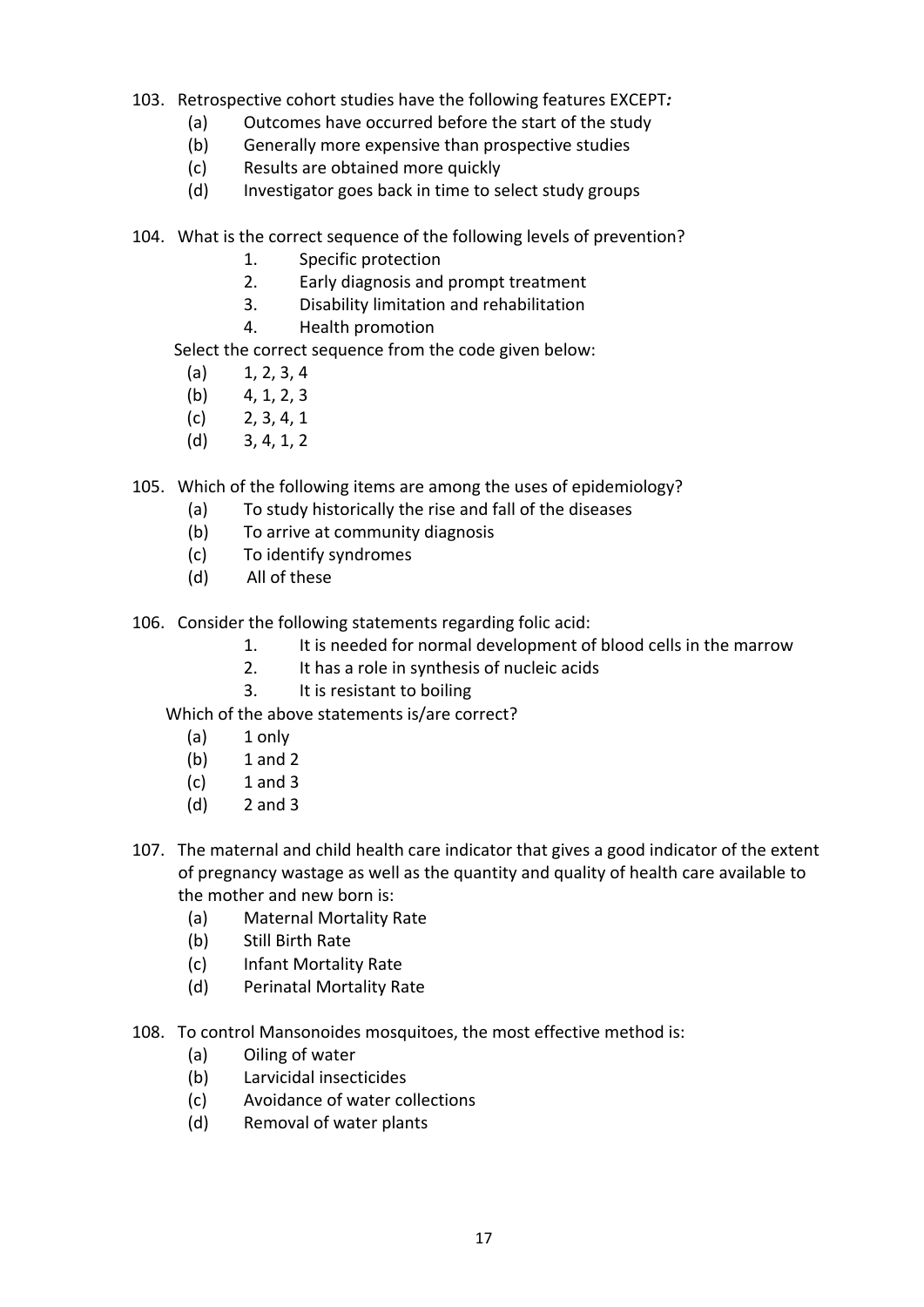- 103. Retrospective cohort studies have the following features EXCEPT*:*
	- (a) Outcomes have occurred before the start of the study
	- (b) Generally more expensive than prospective studies
	- (c) Results are obtained more quickly
	- (d) Investigator goes back in time to select study groups
- 104. What is the correct sequence of the following levels of prevention?
	- 1. Specific protection
	- 2. Early diagnosis and prompt treatment
	- 3. Disability limitation and rehabilitation
	- 4. Health promotion

Select the correct sequence from the code given below:

- $(a)$  1, 2, 3, 4
- $(b)$  4, 1, 2, 3
- $(c)$  2, 3, 4, 1
- $(d)$  3, 4, 1, 2
- 105. Which of the following items are among the uses of epidemiology?
	- (a) To study historically the rise and fall of the diseases
	- (b) To arrive at community diagnosis
	- (c) To identify syndromes
	- (d) All of these
- 106. Consider the following statements regarding folic acid:
	- 1. It is needed for normal development of blood cells in the marrow
	- 2. It has a role in synthesis of nucleic acids
	- 3. It is resistant to boiling

Which of the above statements is/are correct?

- $(a)$  1 only
- (b) 1 and 2
- $(c)$  1 and 3
- (d) 2 and 3
- 107. The maternal and child health care indicator that gives a good indicator of the extent of pregnancy wastage as well as the quantity and quality of health care available to the mother and new born is:
	- (a) Maternal Mortality Rate
	- (b) Still Birth Rate
	- (c) Infant Mortality Rate
	- (d) Perinatal Mortality Rate
- 108. To control Mansonoides mosquitoes, the most effective method is:
	- (a) Oiling of water
	- (b) Larvicidal insecticides
	- (c) Avoidance of water collections
	- (d) Removal of water plants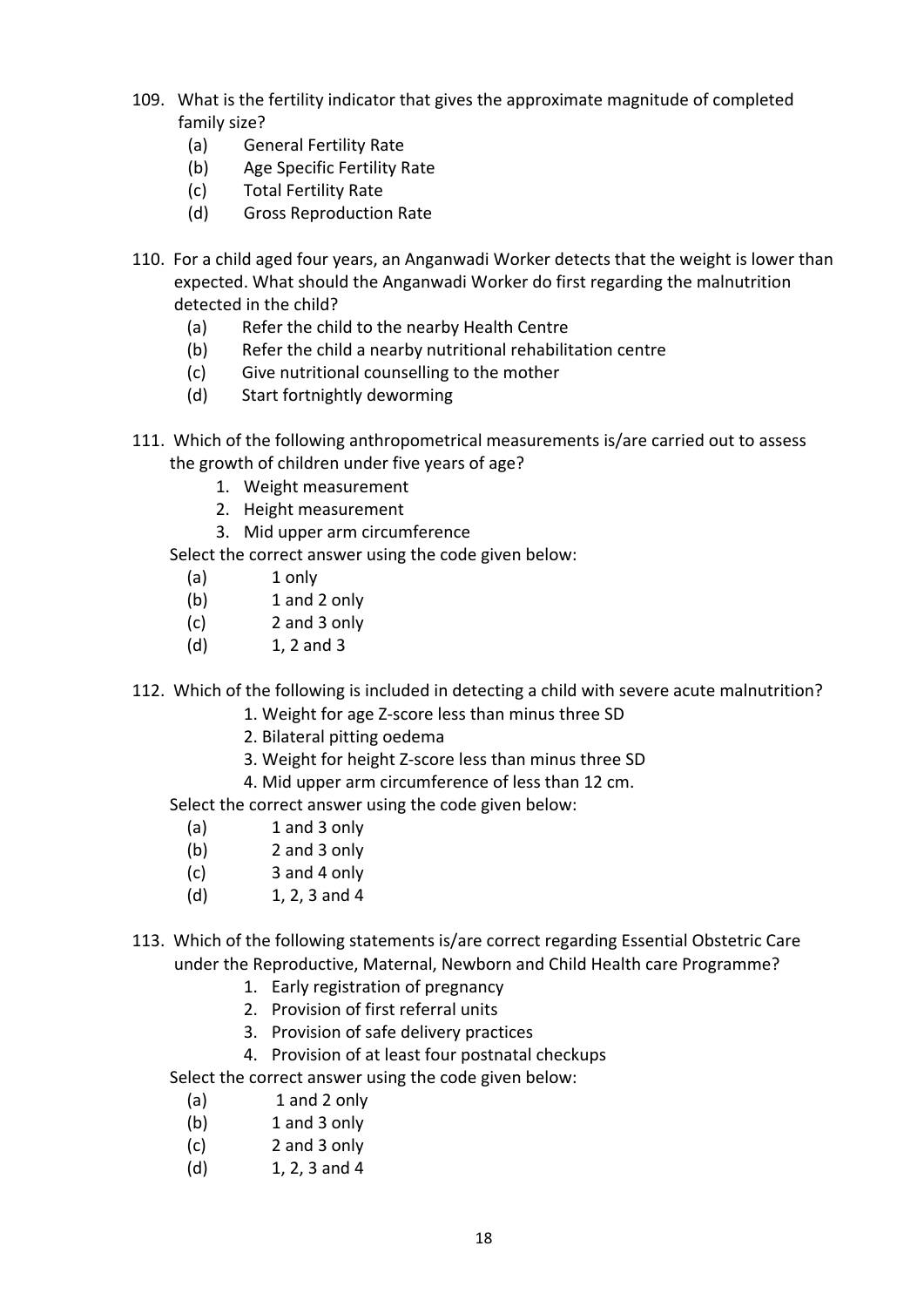- 109. What is the fertility indicator that gives the approximate magnitude of completed family size?
	- (a) General Fertility Rate
	- (b) Age Specific Fertility Rate
	- (c) Total Fertility Rate
	- (d) Gross Reproduction Rate
- 110. For a child aged four years, an Anganwadi Worker detects that the weight is lower than expected. What should the Anganwadi Worker do first regarding the malnutrition detected in the child?
	- (a) Refer the child to the nearby Health Centre
	- (b) Refer the child a nearby nutritional rehabilitation centre
	- (c) Give nutritional counselling to the mother
	- (d) Start fortnightly deworming
- 111. Which of the following anthropometrical measurements is/are carried out to assess the growth of children under five years of age?
	- 1. Weight measurement
	- 2. Height measurement
	- 3. Mid upper arm circumference
	- Select the correct answer using the code given below:
		- (a) 1 only
		- (b) 1 and 2 only
		- (c) 2 and 3 only
		- (d) 1, 2 and 3
- 112. Which of the following is included in detecting a child with severe acute malnutrition?
	- 1. Weight for age Z‐score less than minus three SD
	- 2. Bilateral pitting oedema
	- 3. Weight for height Z‐score less than minus three SD
	- 4. Mid upper arm circumference of less than 12 cm.

Select the correct answer using the code given below:

- (a) 1 and 3 only
- (b) 2 and 3 only
- (c) 3 and 4 only
- (d)  $1, 2, 3$  and 4
- 113. Which of the following statements is/are correct regarding Essential Obstetric Care under the Reproductive, Maternal, Newborn and Child Health care Programme?
	- 1. Early registration of pregnancy
	- 2. Provision of first referral units
	- 3. Provision of safe delivery practices
	- 4. Provision of at least four postnatal checkups

- (a) 1 and 2 only
- (b) 1 and 3 only
- (c) 2 and 3 only
- (d) 1, 2, 3 and 4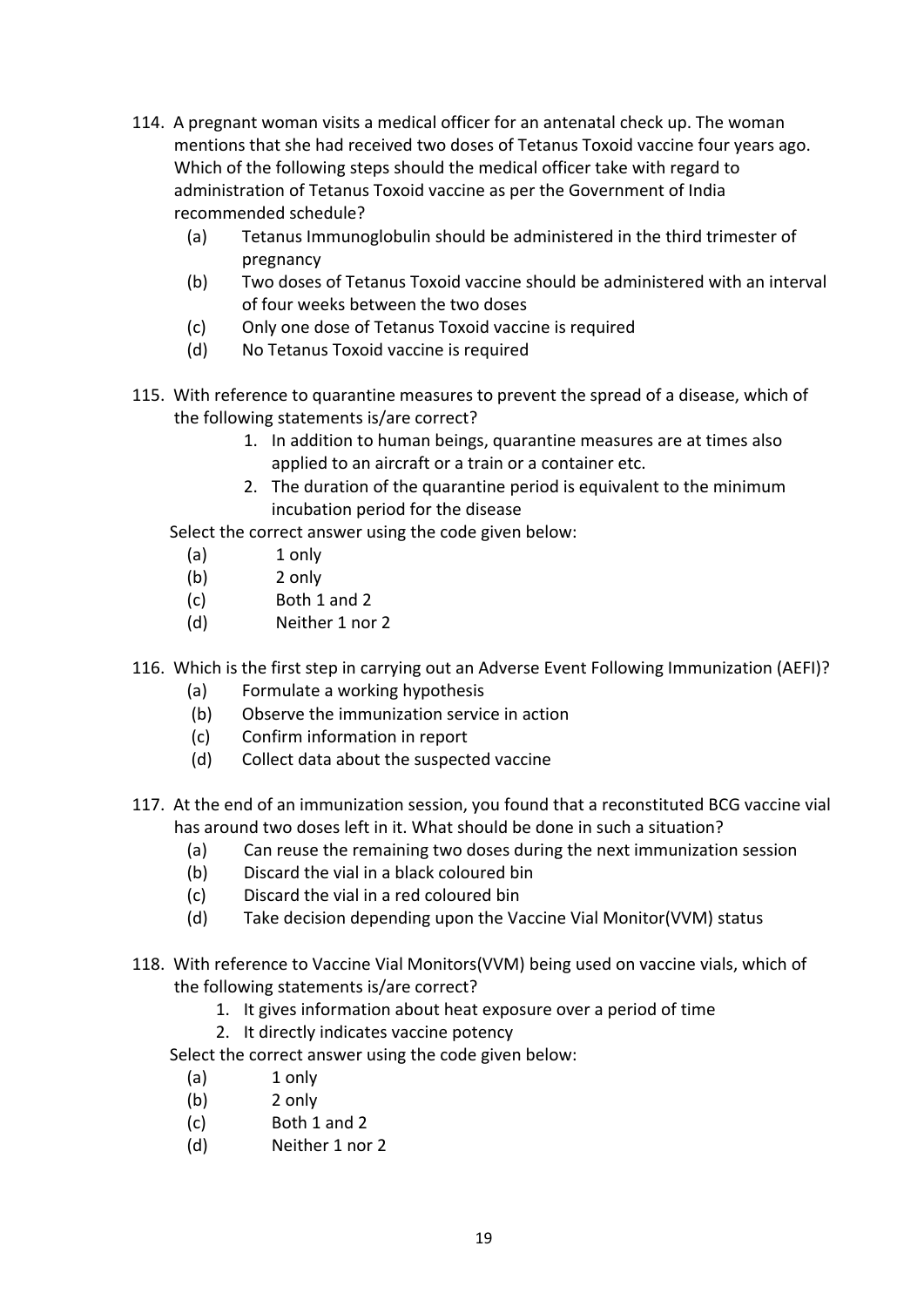- 114. A pregnant woman visits a medical officer for an antenatal check up. The woman mentions that she had received two doses of Tetanus Toxoid vaccine four years ago. Which of the following steps should the medical officer take with regard to administration of Tetanus Toxoid vaccine as per the Government of India recommended schedule?
	- (a) Tetanus Immunoglobulin should be administered in the third trimester of pregnancy
	- (b) Two doses of Tetanus Toxoid vaccine should be administered with an interval of four weeks between the two doses
	- (c) Only one dose of Tetanus Toxoid vaccine is required
	- (d) No Tetanus Toxoid vaccine is required
- 115. With reference to quarantine measures to prevent the spread of a disease, which of the following statements is/are correct?
	- 1. In addition to human beings, quarantine measures are at times also applied to an aircraft or a train or a container etc.
	- 2. The duration of the quarantine period is equivalent to the minimum incubation period for the disease

Select the correct answer using the code given below:

- (a) 1 only
- (b) 2 only
- (c) Both 1 and 2
- (d) Neither 1 nor 2
- 116. Which is the first step in carrying out an Adverse Event Following Immunization (AEFI)?
	- (a) Formulate a working hypothesis
	- (b) Observe the immunization service in action
	- (c) Confirm information in report
	- (d) Collect data about the suspected vaccine
- 117. At the end of an immunization session, you found that a reconstituted BCG vaccine vial has around two doses left in it. What should be done in such a situation?
	- (a) Can reuse the remaining two doses during the next immunization session
	- (b) Discard the vial in a black coloured bin
	- (c) Discard the vial in a red coloured bin
	- (d) Take decision depending upon the Vaccine Vial Monitor(VVM) status
- 118. With reference to Vaccine Vial Monitors(VVM) being used on vaccine vials, which of the following statements is/are correct?
	- 1. It gives information about heat exposure over a period of time
	- 2. It directly indicates vaccine potency

- (a) 1 only
- (b) 2 only
- (c) Both 1 and 2
- (d) Neither 1 nor 2